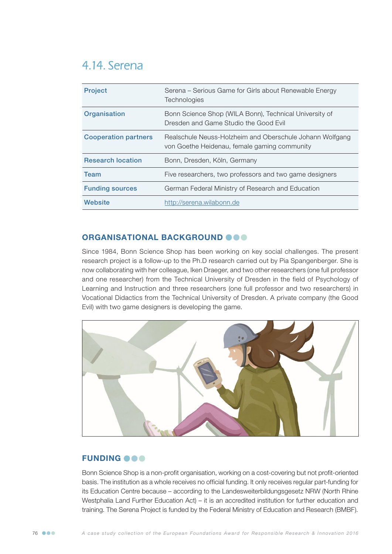# 4.14. Serena

| <b>Project</b>              | Serena – Serious Game for Girls about Renewable Energy<br>Technologies                                   |
|-----------------------------|----------------------------------------------------------------------------------------------------------|
| Organisation                | Bonn Science Shop (WILA Bonn), Technical University of<br>Dresden and Game Studio the Good Evil          |
| <b>Cooperation partners</b> | Realschule Neuss-Holzheim and Oberschule Johann Wolfgang<br>von Goethe Heidenau, female gaming community |
| <b>Research location</b>    | Bonn, Dresden, Köln, Germany                                                                             |
| <b>Team</b>                 | Five researchers, two professors and two game designers                                                  |
| <b>Funding sources</b>      | German Federal Ministry of Research and Education                                                        |
| Website                     | http://serena.wilabonn.de                                                                                |

## ORGANISATIONAL BACKGROUND OOO

Since 1984, Bonn Science Shop has been working on key social challenges. The present research project is a follow-up to the Ph.D research carried out by Pia Spangenberger. She is now collaborating with her colleague, Iken Draeger, and two other researchers (one full professor and one researcher) from the Technical University of Dresden in the field of Psychology of Learning and Instruction and three researchers (one full professor and two researchers) in Vocational Didactics from the Technical University of Dresden. A private company (the Good Evil) with two game designers is developing the game.



## **FUNDING OOO**

Bonn Science Shop is a non-profit organisation, working on a cost-covering but not profit-oriented basis. The institution as a whole receives no official funding. It only receives regular part-funding for its Education Centre because – according to the Landesweiterbildungsgesetz NRW (North Rhine Westphalia Land Further Education Act) – it is an accredited institution for further education and training. The Serena Project is funded by the Federal Ministry of Education and Research (BMBF).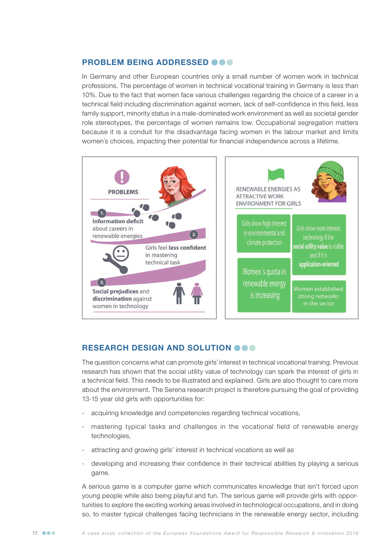### PROBLEM BEING ADDRESSED @@@

In Germany and other European countries only a small number of women work in technical professions. The percentage of women in technical vocational training in Germany is less than 10%. Due to the fact that women face various challenges regarding the choice of a career in a technical field including discrimination against women, lack of self-confidence in this field, less family support, minority status in a male-dominated work environment as well as societal gender role stereotypes, the percentage of women remains low. Occupational segregation matters because it is a conduit for the disadvantage facing women in the labour market and limits women´s choices, impacting their potential for financial independence across a lifetime.



### RESEARCH DESIGN AND SOLUTION OOO

The question concerns what can promote girls´ interest in technical vocational training. Previous research has shown that the social utility value of technology can spark the interest of girls in a technical field. This needs to be illustrated and explained. Girls are also thought to care more about the environment. The Serena research project is therefore pursuing the goal of providing 13-15 year old girls with opportunities for:

- acquiring knowledge and competencies regarding technical vocations,
- mastering typical tasks and challenges in the vocational field of renewable energy technologies,
- attracting and growing girls' interest in technical vocations as well as
- developing and increasing their confidence in their technical abilities by playing a serious game.

A serious game is a computer game which communicates knowledge that isn't forced upon young people while also being playful and fun. The serious game will provide girls with opportunities to explore the exciting working areas involved in technological occupations, and in doing so, to master typical challenges facing technicians in the renewable energy sector, including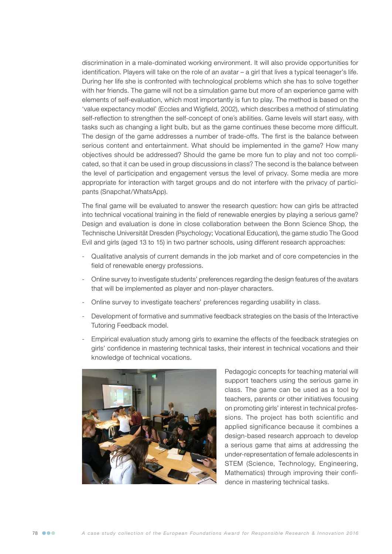discrimination in a male-dominated working environment. It will also provide opportunities for identification. Players will take on the role of an avatar – a girl that lives a typical teenager's life. During her life she is confronted with technological problems which she has to solve together with her friends. The game will not be a simulation game but more of an experience game with elements of self-evaluation, which most importantly is fun to play. The method is based on the 'value expectancy model' (Eccles and Wigfield, 2002), which describes a method of stimulating self-reflection to strengthen the self-concept of one´s abilities. Game levels will start easy, with tasks such as changing a light bulb, but as the game continues these become more difficult. The design of the game addresses a number of trade-offs. The first is the balance between serious content and entertainment. What should be implemented in the game? How many objectives should be addressed? Should the game be more fun to play and not too complicated, so that it can be used in group discussions in class? The second is the balance between the level of participation and engagement versus the level of privacy. Some media are more appropriate for interaction with target groups and do not interfere with the privacy of participants (Snapchat/WhatsApp).

The final game will be evaluated to answer the research question: how can girls be attracted into technical vocational training in the field of renewable energies by playing a serious game? Design and evaluation is done in close collaboration between the Bonn Science Shop, the Technische Universität Dresden (Psychology; Vocational Education), the game studio The Good Evil and girls (aged 13 to 15) in two partner schools, using different research approaches:

- Qualitative analysis of current demands in the job market and of core competencies in the field of renewable energy professions.
- Online survey to investigate students' preferences regarding the design features of the avatars that will be implemented as player and non-player characters.
- Online survey to investigate teachers' preferences regarding usability in class.
- Development of formative and summative feedback strategies on the basis of the Interactive Tutoring Feedback model.
- Empirical evaluation study among girls to examine the effects of the feedback strategies on girls' confidence in mastering technical tasks, their interest in technical vocations and their knowledge of technical vocations.



Pedagogic concepts for teaching material will support teachers using the serious game in class. The game can be used as a tool by teachers, parents or other initiatives focusing on promoting girls' interest in technical professions. The project has both scientific and applied significance because it combines a design-based research approach to develop a serious game that aims at addressing the under-representation of female adolescents in STEM (Science, Technology, Engineering, Mathematics) through improving their confidence in mastering technical tasks.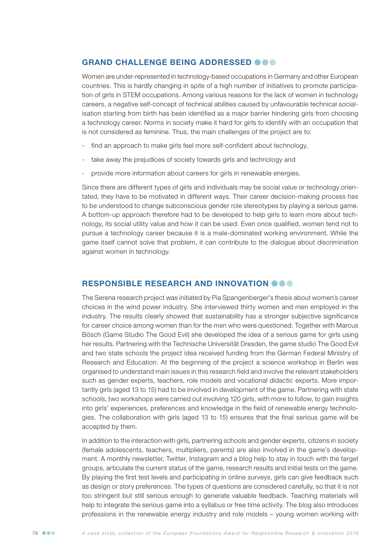### GRAND CHALLENGE BEING ADDRESSED @@@

Women are under-represented in technology-based occupations in Germany and other European countries. This is hardly changing in spite of a high number of initiatives to promote participation of girls in STEM occupations. Among various reasons for the lack of women in technology careers, a negative self-concept of technical abilities caused by unfavourable technical socialisation starting from birth has been identified as a major barrier hindering girls from choosing a technology career. Norms in society make it hard for girls to identify with an occupation that is not considered as feminine. Thus, the main challenges of the project are to:

- find an approach to make girls feel more self-confident about technology,
- take away the prejudices of society towards girls and technology and
- provide more information about careers for girls in renewable energies.

Since there are different types of girls and individuals may be social value or technology orientated, they have to be motivated in different ways. Their career decision-making process has to be understood to change subconscious gender role stereotypes by playing a serious game. A bottom-up approach therefore had to be developed to help girls to learn more about technology, its social utility value and how it can be used. Even once qualified, women tend not to pursue a technology career because it is a male-dominated working environment. While the game itself cannot solve that problem, it can contribute to the dialogue about discrimination against women in technology.

#### RESPONSIBLE RESEARCH AND INNOVATION OOO

The Serena research project was initiated by Pia Spangenberger's thesis about women´s career choices in the wind power industry. She interviewed thirty women and men employed in the industry. The results clearly showed that sustainability has a stronger subjective significance for career choice among women than for the men who were questioned. Together with Marcus Bösch (Game Studio The Good Evil) she developed the idea of a serious game for girls using her results. Partnering with the Technische Universität Dresden, the game studio The Good Evil and two state schools the project idea received funding from the German Federal Ministry of Research and Education. At the beginning of the project a science workshop in Berlin was organised to understand main issues in this research field and involve the relevant stakeholders such as gender experts, teachers, role models and vocational didactic experts. More importantly girls (aged 13 to 15) had to be involved in development of the game. Partnering with state schools, two workshops were carried out involving 120 girls, with more to follow, to gain insights into girls' experiences, preferences and knowledge in the field of renewable energy technologies. The collaboration with girls (aged 13 to 15) ensures that the final serious game will be accepted by them.

In addition to the interaction with girls, partnering schools and gender experts, citizens in society (female adolescents, teachers, multipliers, parents) are also involved in the game's development. A monthly newsletter, Twitter, Instagram and a blog help to stay in touch with the target groups, articulate the current status of the game, research results and initial tests on the game. By playing the first test levels and participating in online surveys, girls can give feedback such as design or story preferences. The types of questions are considered carefully, so that it is not too stringent but still serious enough to generate valuable feedback. Teaching materials will help to integrate the serious game into a syllabus or free time activity. The blog also introduces professions in the renewable energy industry and role models – young women working with